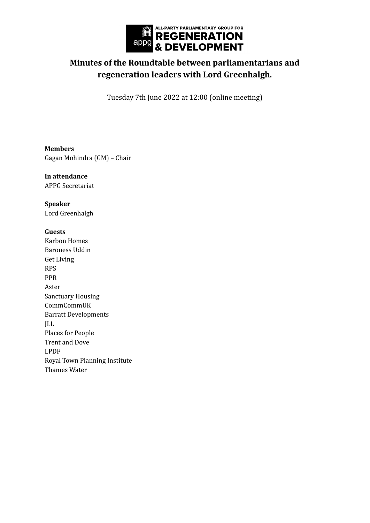

## **Minutes of the Roundtable between parliamentarians and regeneration leaders with Lord Greenhalgh.**

Tuesday 7th June 2022 at 12:00 (online meeting)

**Members** Gagan Mohindra (GM) – Chair

**In attendance** APPG Secretariat

**Speaker** Lord Greenhalgh

## **Guests**

Karbon Homes Baroness Uddin Get Living RPS PPR Aster Sanctuary Housing CommCommUK Barratt Developments JLL Places for People Trent and Dove LPDF Royal Town Planning Institute Thames Water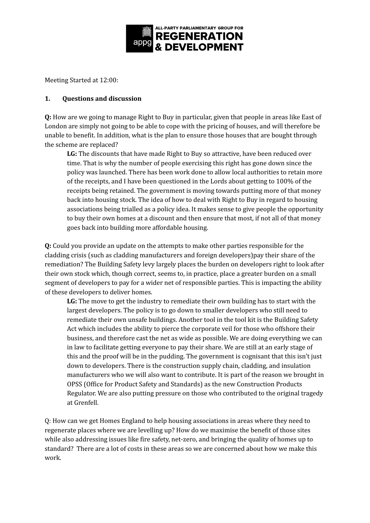

Meeting Started at 12:00:

## **1. Questions and discussion**

**Q:** How are we going to manage Right to Buy in particular, given that people in areas like East of London are simply not going to be able to cope with the pricing of houses, and will therefore be unable to benefit. In addition, what is the plan to ensure those houses that are bought through the scheme are replaced?

**LG:** The discounts that have made Right to Buy so attractive, have been reduced over time. That is why the number of people exercising this right has gone down since the policy was launched. There has been work done to allow local authorities to retain more of the receipts, and I have been questioned in the Lords about getting to 100% of the receipts being retained. The government is moving towards putting more of that money back into housing stock. The idea of how to deal with Right to Buy in regard to housing associations being trialled as a policy idea. It makes sense to give people the opportunity to buy their own homes at a discount and then ensure that most, if not all of that money goes back into building more affordable housing.

**Q:** Could you provide an update on the attempts to make other parties responsible for the cladding crisis (such as cladding manufacturers and foreign developers)pay their share of the remediation? The Building Safety levy largely places the burden on developers right to look after their own stock which, though correct, seems to, in practice, place a greater burden on a small segment of developers to pay for a wider net of responsible parties. This is impacting the ability of these developers to deliver homes.

**LG:** The move to get the industry to remediate their own building has to start with the largest developers. The policy is to go down to smaller developers who still need to remediate their own unsafe buildings. Another tool in the tool kit is the Building Safety Act which includes the ability to pierce the corporate veil for those who offshore their business, and therefore cast the net as wide as possible. We are doing everything we can in law to facilitate getting everyone to pay their share. We are still at an early stage of this and the proof will be in the pudding. The government is cognisant that this isn't just down to developers. There is the construction supply chain, cladding, and insulation manufacturers who we will also want to contribute. It is part of the reason we brought in OPSS (Office for Product Safety and Standards) as the new Construction Products Regulator. We are also putting pressure on those who contributed to the original tragedy at Grenfell.

Q: How can we get Homes England to help housing associations in areas where they need to regenerate places where we are levelling up? How do we maximise the benefit of those sites while also addressing issues like fire safety, net-zero, and bringing the quality of homes up to standard? There are a lot of costs in these areas so we are concerned about how we make this work.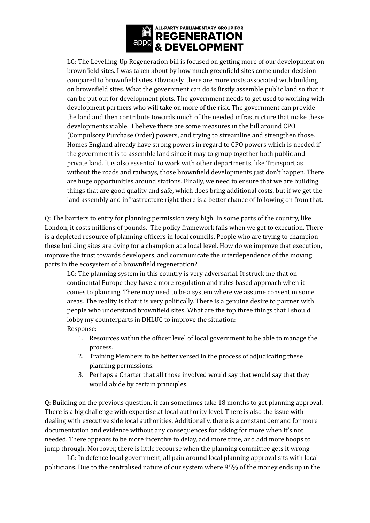

LG: The Levelling-Up Regeneration bill is focused on getting more of our development on brownfield sites. I was taken about by how much greenfield sites come under decision compared to brownfield sites. Obviously, there are more costs associated with building on brownfield sites. What the government can do is firstly assemble public land so that it can be put out for development plots. The government needs to get used to working with development partners who will take on more of the risk. The government can provide the land and then contribute towards much of the needed infrastructure that make these developments viable. I believe there are some measures in the bill around CPO (Compulsory Purchase Order) powers, and trying to streamline and strengthen those. Homes England already have strong powers in regard to CPO powers which is needed if the government is to assemble land since it may to group together both public and private land. It is also essential to work with other departments, like Transport as without the roads and railways, those brownfield developments just don't happen. There are huge opportunities around stations. Finally, we need to ensure that we are building things that are good quality and safe, which does bring additional costs, but if we get the land assembly and infrastructure right there is a better chance of following on from that.

Q: The barriers to entry for planning permission very high. In some parts of the country, like London, it costs millions of pounds. The policy framework fails when we get to execution. There is a depleted resource of planning officers in local councils. People who are trying to champion these building sites are dying for a champion at a local level. How do we improve that execution, improve the trust towards developers, and communicate the interdependence of the moving parts in the ecosystem of a brownfield regeneration?

LG: The planning system in this country is very adversarial. It struck me that on continental Europe they have a more regulation and rules based approach when it comes to planning. There may need to be a system where we assume consent in some areas. The reality is that it is very politically. There is a genuine desire to partner with people who understand brownfield sites. What are the top three things that I should lobby my counterparts in DHLUC to improve the situation: Response:

- 1. Resources within the officer level of local government to be able to manage the process.
- 2. Training Members to be better versed in the process of adjudicating these planning permissions.
- 3. Perhaps a Charter that all those involved would say that would say that they would abide by certain principles.

Q: Building on the previous question, it can sometimes take 18 months to get planning approval. There is a big challenge with expertise at local authority level. There is also the issue with dealing with executive side local authorities. Additionally, there is a constant demand for more documentation and evidence without any consequences for asking for more when it's not needed. There appears to be more incentive to delay, add more time, and add more hoops to jump through. Moreover, there is little recourse when the planning committee gets it wrong.

LG: In defence local government, all pain around local planning approval sits with local politicians. Due to the centralised nature of our system where 95% of the money ends up in the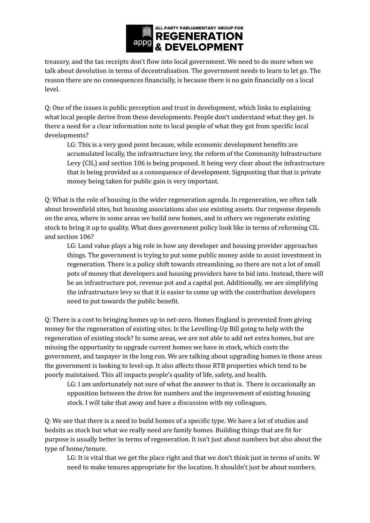

treasury, and the tax receipts don't flow into local government. We need to do more when we talk about devolution in terms of decentralisation. The government needs to learn to let go. The reason there are no consequences financially, is because there is no gain financially on a local level.

Q: One of the issues is public perception and trust in development, which links to explaining what local people derive from these developments. People don't understand what they get. Is there a need for a clear information note to local people of what they got from specific local developments?

LG: This is a very good point because, while economic development benefits are accumulated locally, the infrastructure levy, the reform of the Community Infrastructure Levy (CIL) and section 106 is being proposed. It being very clear about the infrastructure that is being provided as a consequence of development. Signposting that that is private money being taken for public gain is very important.

Q: What is the role of housing in the wider regeneration agenda. In regeneration, we often talk about brownfield sites, but housing associations also use existing assets. Our response depends on the area, where in some areas we build new homes, and in others we regenerate existing stock to bring it up to quality. What does government policy look like in terms of reforming CIL and section 106?

LG: Land value plays a big role in how any developer and housing provider approaches things. The government is trying to put some public money aside to assist investment in regeneration. There is a policy shift towards streamlining, so there are not a lot of small pots of money that developers and housing providers have to bid into. Instead, there will be an infrastructure pot, revenue pot and a capital pot. Additionally, we are simplifying the infrastructure levy so that it is easier to come up with the contribution developers need to put towards the public benefit.

Q: There is a cost to bringing homes up to net-zero. Homes England is prevented from giving money for the regeneration of existing sites. Is the Levelling-Up Bill going to help with the regeneration of existing stock? In some areas, we are not able to add net extra homes, but are missing the opportunity to upgrade current homes we have in stock, which costs the government, and taxpayer in the long run. We are talking about upgrading homes in those areas the government is looking to level-up. It also affects those RTB properties which tend to be poorly maintained. This all impacts people's quality of life, safety, and health.

LG: I am unfortunately not sure of what the answer to that is. There is occasionally an opposition between the drive for numbers and the improvement of existing housing stock. I will take that away and have a discussion with my colleagues.

Q: We see that there is a need to build homes of a specific type. We have a lot of studios and bedsits as stock but what we really need are family homes. Building things that are fit for purpose is usually better in terms of regeneration. It isn't just about numbers but also about the type of home/tenure.

LG: It is vital that we get the place right and that we don't think just in terms of units. W need to make tenures appropriate for the location. It shouldn't just be about numbers.